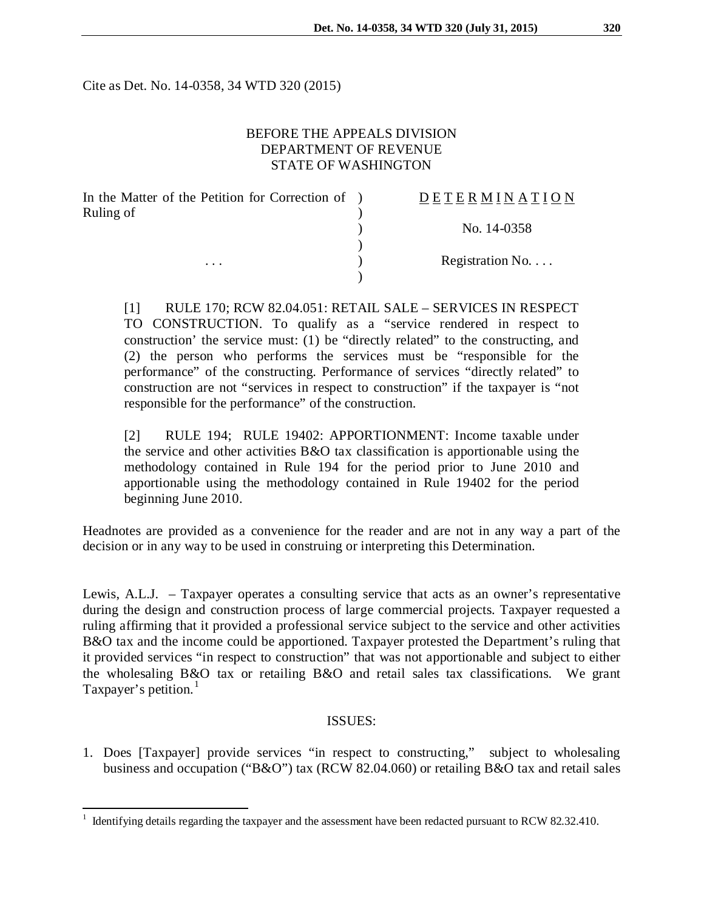Cite as Det. No. 14-0358, 34 WTD 320 (2015)

## BEFORE THE APPEALS DIVISION DEPARTMENT OF REVENUE STATE OF WASHINGTON

| In the Matter of the Petition for Correction of ) |  |
|---------------------------------------------------|--|
| Ruling of                                         |  |
|                                                   |  |
|                                                   |  |
|                                                   |  |
|                                                   |  |

# E T E R M I N A T I O N

) No. 14-0358

Registration No. . . .

[1] RULE 170; RCW 82.04.051: RETAIL SALE – SERVICES IN RESPECT TO CONSTRUCTION. To qualify as a "service rendered in respect to construction' the service must: (1) be "directly related" to the constructing, and (2) the person who performs the services must be "responsible for the performance" of the constructing. Performance of services "directly related" to construction are not "services in respect to construction" if the taxpayer is "not responsible for the performance" of the construction.

[2] RULE 194; RULE 19402: APPORTIONMENT: Income taxable under the service and other activities B&O tax classification is apportionable using the methodology contained in Rule 194 for the period prior to June 2010 and apportionable using the methodology contained in Rule 19402 for the period beginning June 2010.

Headnotes are provided as a convenience for the reader and are not in any way a part of the decision or in any way to be used in construing or interpreting this Determination.

Lewis, A.L.J. – Taxpayer operates a consulting service that acts as an owner's representative during the design and construction process of large commercial projects. Taxpayer requested a ruling affirming that it provided a professional service subject to the service and other activities B&O tax and the income could be apportioned. Taxpayer protested the Department's ruling that it provided services "in respect to construction" that was not apportionable and subject to either the wholesaling B&O tax or retailing B&O and retail sales tax classifications. We grant Taxpayer's petition. $<sup>1</sup>$  $<sup>1</sup>$  $<sup>1</sup>$ </sup>

## ISSUES:

1. Does [Taxpayer] provide services "in respect to constructing," subject to wholesaling business and occupation ("B&O") tax (RCW 82.04.060) or retailing B&O tax and retail sales

<span id="page-0-0"></span> <sup>1</sup> Identifying details regarding the taxpayer and the assessment have been redacted pursuant to RCW 82.32.410.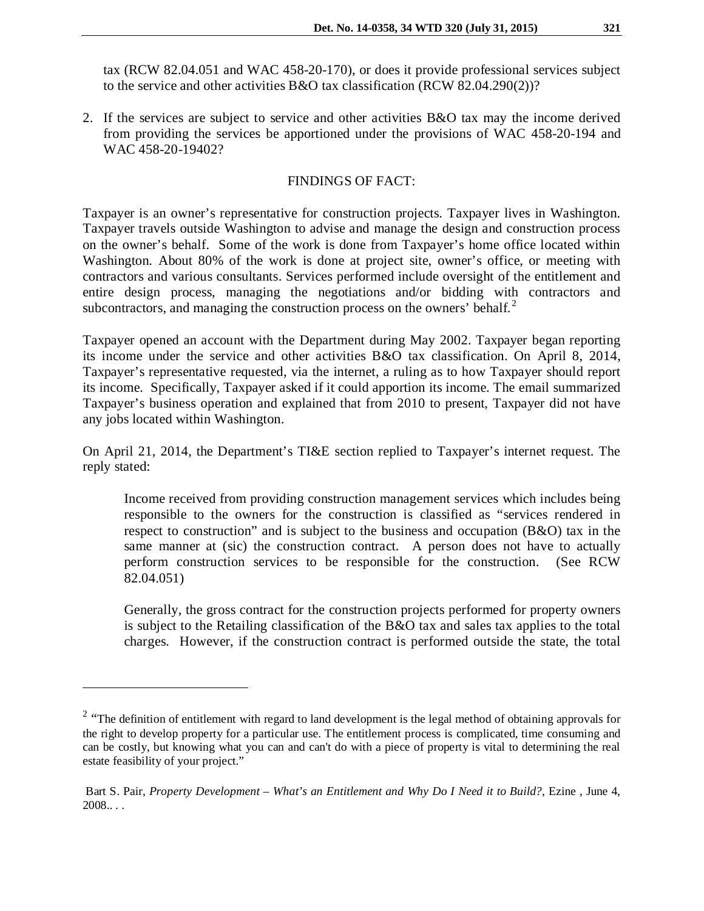tax (RCW 82.04.051 and WAC 458-20-170), or does it provide professional services subject to the service and other activities  $B&O$  tax classification  $(RCW 82.04.290(2))$ ?

2. If the services are subject to service and other activities B&O tax may the income derived from providing the services be apportioned under the provisions of WAC 458-20-194 and WAC 458-20-19402?

#### FINDINGS OF FACT:

Taxpayer is an owner's representative for construction projects. Taxpayer lives in Washington. Taxpayer travels outside Washington to advise and manage the design and construction process on the owner's behalf. Some of the work is done from Taxpayer's home office located within Washington. About 80% of the work is done at project site, owner's office, or meeting with contractors and various consultants. Services performed include oversight of the entitlement and entire design process, managing the negotiations and/or bidding with contractors and subcontractors, and managing the construction process on the owners' behalf. $2$ 

Taxpayer opened an account with the Department during May 2002. Taxpayer began reporting its income under the service and other activities B&O tax classification. On April 8, 2014, Taxpayer's representative requested, via the internet, a ruling as to how Taxpayer should report its income. Specifically, Taxpayer asked if it could apportion its income. The email summarized Taxpayer's business operation and explained that from 2010 to present, Taxpayer did not have any jobs located within Washington.

On April 21, 2014, the Department's TI&E section replied to Taxpayer's internet request. The reply stated:

Income received from providing construction management services which includes being responsible to the owners for the construction is classified as "services rendered in respect to construction" and is subject to the business and occupation (B&O) tax in the same manner at (sic) the construction contract. A person does not have to actually perform construction services to be responsible for the construction. (See RCW 82.04.051)

Generally, the gross contract for the construction projects performed for property owners is subject to the Retailing classification of the B&O tax and sales tax applies to the total charges. However, if the construction contract is performed outside the state, the total

 $\overline{a}$ 

<span id="page-1-0"></span><sup>&</sup>lt;sup>2</sup> "The definition of entitlement with regard to land development is the legal method of obtaining approvals for the right to develop property for a particular use. The entitlement process is complicated, time consuming and can be costly, but knowing what you can and can't do with a piece of property is vital to determining the real estate feasibility of your project."

Bart S. Pair, *Property Development – What's an Entitlement and Why Do I Need it to Build?*, Ezine , June 4,  $2008...$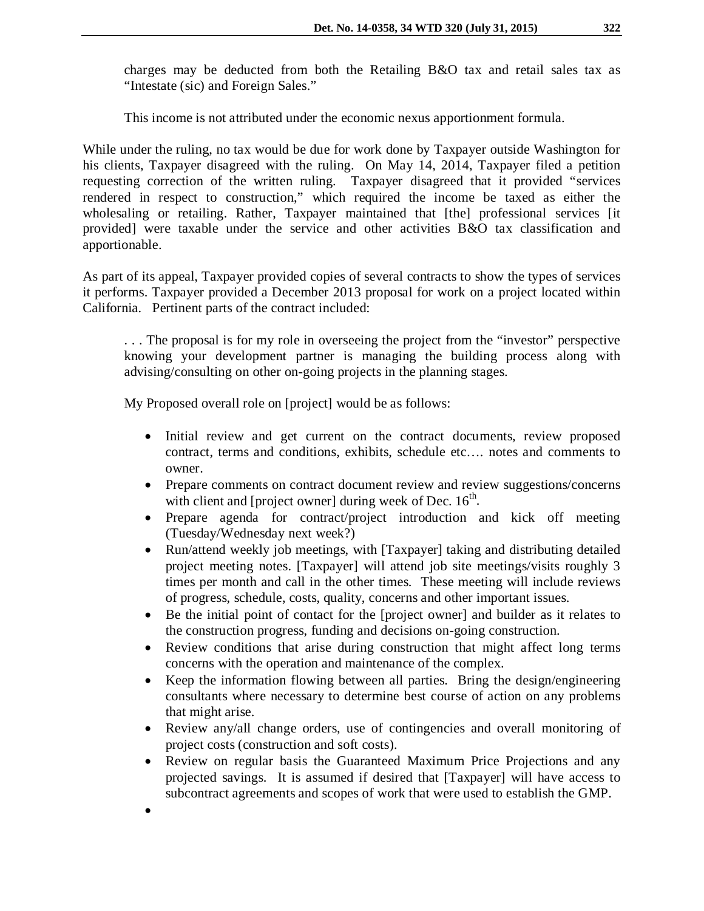charges may be deducted from both the Retailing B&O tax and retail sales tax as "Intestate (sic) and Foreign Sales."

This income is not attributed under the economic nexus apportionment formula.

While under the ruling, no tax would be due for work done by Taxpayer outside Washington for his clients, Taxpayer disagreed with the ruling. On May 14, 2014, Taxpayer filed a petition requesting correction of the written ruling. Taxpayer disagreed that it provided "services rendered in respect to construction," which required the income be taxed as either the wholesaling or retailing. Rather, Taxpayer maintained that [the] professional services [it provided] were taxable under the service and other activities B&O tax classification and apportionable.

As part of its appeal, Taxpayer provided copies of several contracts to show the types of services it performs. Taxpayer provided a December 2013 proposal for work on a project located within California. Pertinent parts of the contract included:

. . . The proposal is for my role in overseeing the project from the "investor" perspective knowing your development partner is managing the building process along with advising/consulting on other on-going projects in the planning stages.

My Proposed overall role on [project] would be as follows:

- Initial review and get current on the contract documents, review proposed contract, terms and conditions, exhibits, schedule etc…. notes and comments to owner.
- Prepare comments on contract document review and review suggestions/concerns with client and [project owner] during week of Dec.  $16<sup>th</sup>$ .
- Prepare agenda for contract/project introduction and kick off meeting (Tuesday/Wednesday next week?)
- Run/attend weekly job meetings, with [Taxpayer] taking and distributing detailed project meeting notes. [Taxpayer] will attend job site meetings/visits roughly 3 times per month and call in the other times. These meeting will include reviews of progress, schedule, costs, quality, concerns and other important issues.
- Be the initial point of contact for the [project owner] and builder as it relates to the construction progress, funding and decisions on-going construction.
- Review conditions that arise during construction that might affect long terms concerns with the operation and maintenance of the complex.
- Keep the information flowing between all parties. Bring the design/engineering consultants where necessary to determine best course of action on any problems that might arise.
- Review any/all change orders, use of contingencies and overall monitoring of project costs (construction and soft costs).
- Review on regular basis the Guaranteed Maximum Price Projections and any projected savings. It is assumed if desired that [Taxpayer] will have access to subcontract agreements and scopes of work that were used to establish the GMP.
- •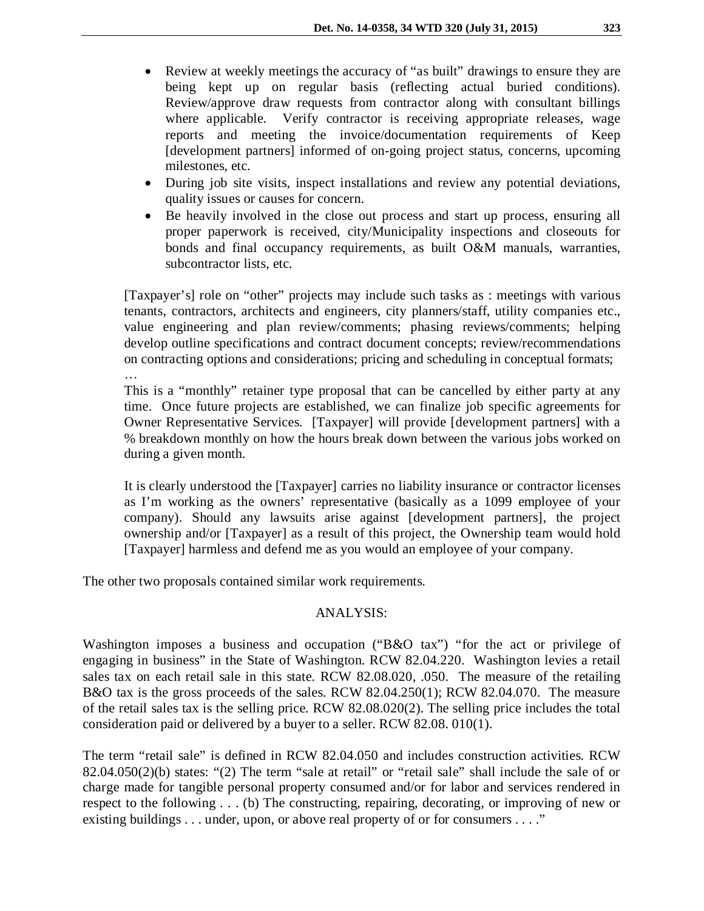- Review at weekly meetings the accuracy of "as built" drawings to ensure they are being kept up on regular basis (reflecting actual buried conditions). Review/approve draw requests from contractor along with consultant billings where applicable. Verify contractor is receiving appropriate releases, wage reports and meeting the invoice/documentation requirements of Keep [development partners] informed of on-going project status, concerns, upcoming milestones, etc.
- During job site visits, inspect installations and review any potential deviations, quality issues or causes for concern.
- Be heavily involved in the close out process and start up process, ensuring all proper paperwork is received, city/Municipality inspections and closeouts for bonds and final occupancy requirements, as built O&M manuals, warranties, subcontractor lists, etc.

[Taxpayer's] role on "other" projects may include such tasks as : meetings with various tenants, contractors, architects and engineers, city planners/staff, utility companies etc., value engineering and plan review/comments; phasing reviews/comments; helping develop outline specifications and contract document concepts; review/recommendations on contracting options and considerations; pricing and scheduling in conceptual formats;

This is a "monthly" retainer type proposal that can be cancelled by either party at any time. Once future projects are established, we can finalize job specific agreements for Owner Representative Services. [Taxpayer] will provide [development partners] with a % breakdown monthly on how the hours break down between the various jobs worked on during a given month.

It is clearly understood the [Taxpayer] carries no liability insurance or contractor licenses as I'm working as the owners' representative (basically as a 1099 employee of your company). Should any lawsuits arise against [development partners], the project ownership and/or [Taxpayer] as a result of this project, the Ownership team would hold [Taxpayer] harmless and defend me as you would an employee of your company.

The other two proposals contained similar work requirements.

…

## ANALYSIS:

Washington imposes a business and occupation ("B&O tax") "for the act or privilege of engaging in business" in the State of Washington. RCW 82.04.220. Washington levies a retail sales tax on each retail sale in this state. RCW 82.08.020, .050. The measure of the retailing B&O tax is the gross proceeds of the sales. RCW 82.04.250(1); RCW 82.04.070. The measure of the retail sales tax is the selling price. RCW 82.08.020(2). The selling price includes the total consideration paid or delivered by a buyer to a seller. RCW 82.08. 010(1).

The term "retail sale" is defined in RCW 82.04.050 and includes construction activities. RCW 82.04.050(2)(b) states: "(2) The term "sale at retail" or "retail sale" shall include the sale of or charge made for tangible personal property consumed and/or for labor and services rendered in respect to the following . . . (b) The constructing, repairing, decorating, or improving of new or existing buildings . . . under, upon, or above real property of or for consumers . . . ."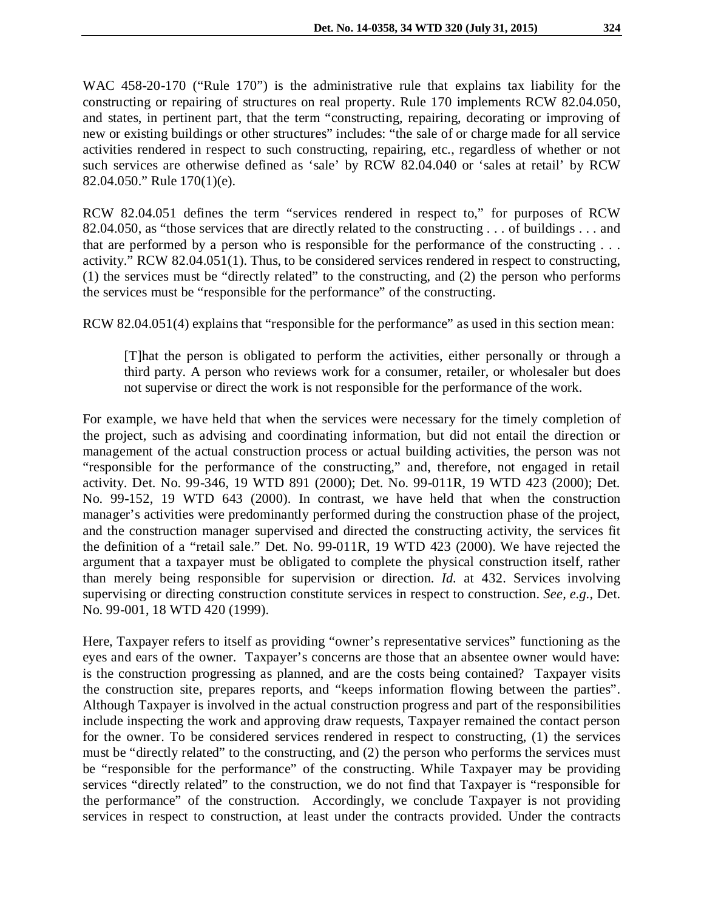WAC 458-20-170 ("Rule 170") is the administrative rule that explains tax liability for the constructing or repairing of structures on real property. Rule 170 implements RCW 82.04.050, and states, in pertinent part, that the term "constructing, repairing, decorating or improving of

new or existing buildings or other structures" includes: "the sale of or charge made for all service activities rendered in respect to such constructing, repairing, etc., regardless of whether or not such services are otherwise defined as 'sale' by RCW 82.04.040 or 'sales at retail' by RCW 82.04.050." Rule 170(1)(e).

RCW 82.04.051 defines the term "services rendered in respect to," for purposes of RCW 82.04.050, as "those services that are directly related to the constructing . . . of buildings . . . and that are performed by a person who is responsible for the performance of the constructing . . . activity." RCW 82.04.051(1). Thus, to be considered services rendered in respect to constructing, (1) the services must be "directly related" to the constructing, and (2) the person who performs the services must be "responsible for the performance" of the constructing.

RCW 82.04.051(4) explains that "responsible for the performance" as used in this section mean:

[T]hat the person is obligated to perform the activities, either personally or through a third party. A person who reviews work for a consumer, retailer, or wholesaler but does not supervise or direct the work is not responsible for the performance of the work.

For example, we have held that when the services were necessary for the timely completion of the project, such as advising and coordinating information, but did not entail the direction or management of the actual construction process or actual building activities, the person was not "responsible for the performance of the constructing," and, therefore, not engaged in retail activity. Det. No. 99-346, 19 WTD 891 (2000); Det. No. 99-011R, 19 WTD 423 (2000); Det. No. 99-152, 19 WTD 643 (2000). In contrast, we have held that when the construction manager's activities were predominantly performed during the construction phase of the project, and the construction manager supervised and directed the constructing activity, the services fit the definition of a "retail sale." Det. No. 99-011R, 19 WTD 423 (2000). We have rejected the argument that a taxpayer must be obligated to complete the physical construction itself, rather than merely being responsible for supervision or direction. *Id.* at 432. Services involving supervising or directing construction constitute services in respect to construction. *See, e.g.,* Det. No. 99-001, 18 WTD 420 (1999).

Here, Taxpayer refers to itself as providing "owner's representative services" functioning as the eyes and ears of the owner. Taxpayer's concerns are those that an absentee owner would have: is the construction progressing as planned, and are the costs being contained? Taxpayer visits the construction site, prepares reports, and "keeps information flowing between the parties". Although Taxpayer is involved in the actual construction progress and part of the responsibilities include inspecting the work and approving draw requests, Taxpayer remained the contact person for the owner. To be considered services rendered in respect to constructing, (1) the services must be "directly related" to the constructing, and (2) the person who performs the services must be "responsible for the performance" of the constructing. While Taxpayer may be providing services "directly related" to the construction, we do not find that Taxpayer is "responsible for the performance" of the construction. Accordingly, we conclude Taxpayer is not providing services in respect to construction, at least under the contracts provided. Under the contracts